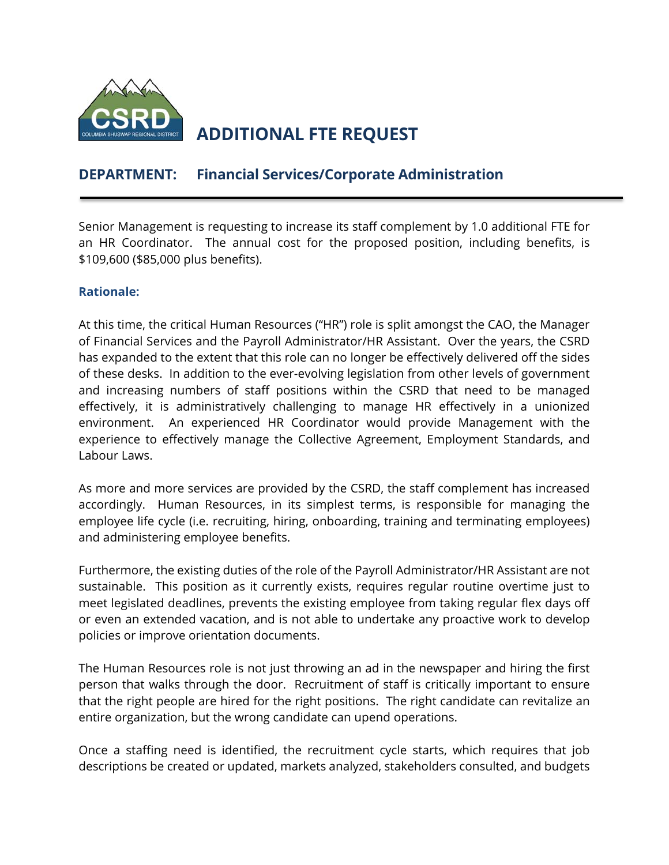

# **ADDITIONAL FTE REQUEST**

## **DEPARTMENT: Financial Services/Corporate Administration**

Senior Management is requesting to increase its staff complement by 1.0 additional FTE for an HR Coordinator. The annual cost for the proposed position, including benefits, is \$109,600 (\$85,000 plus benefits).

#### **Rationale:**

At this time, the critical Human Resources ("HR") role is split amongst the CAO, the Manager of Financial Services and the Payroll Administrator/HR Assistant. Over the years, the CSRD has expanded to the extent that this role can no longer be effectively delivered off the sides of these desks. In addition to the ever-evolving legislation from other levels of government and increasing numbers of staff positions within the CSRD that need to be managed effectively, it is administratively challenging to manage HR effectively in a unionized environment. An experienced HR Coordinator would provide Management with the experience to effectively manage the Collective Agreement, Employment Standards, and Labour Laws.

As more and more services are provided by the CSRD, the staff complement has increased accordingly. Human Resources, in its simplest terms, is responsible for managing the employee life cycle (i.e. recruiting, hiring, onboarding, training and terminating employees) and administering employee benefits.

Furthermore, the existing duties of the role of the Payroll Administrator/HR Assistant are not sustainable. This position as it currently exists, requires regular routine overtime just to meet legislated deadlines, prevents the existing employee from taking regular flex days off or even an extended vacation, and is not able to undertake any proactive work to develop policies or improve orientation documents.

The Human Resources role is not just throwing an ad in the newspaper and hiring the first person that walks through the door. Recruitment of staff is critically important to ensure that the right people are hired for the right positions. The right candidate can revitalize an entire organization, but the wrong candidate can upend operations.

Once a staffing need is identified, the recruitment cycle starts, which requires that job descriptions be created or updated, markets analyzed, stakeholders consulted, and budgets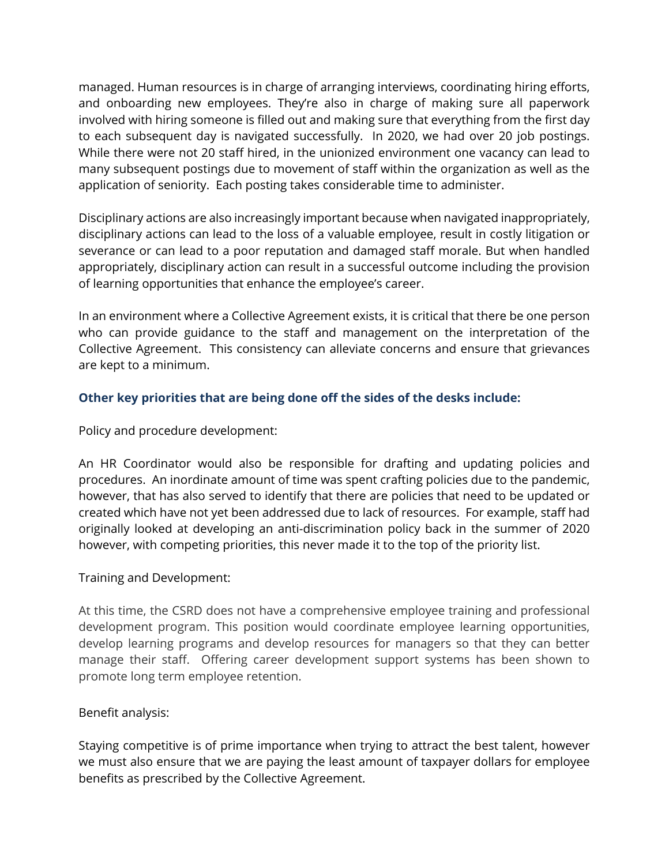managed. Human resources is in charge of arranging interviews, coordinating hiring efforts, and onboarding new employees. They're also in charge of making sure all paperwork involved with hiring someone is filled out and making sure that everything from the first day to each subsequent day is navigated successfully. In 2020, we had over 20 job postings. While there were not 20 staff hired, in the unionized environment one vacancy can lead to many subsequent postings due to movement of staff within the organization as well as the application of seniority. Each posting takes considerable time to administer.

Disciplinary actions are also increasingly important because when navigated inappropriately, disciplinary actions can lead to the loss of a valuable employee, result in costly litigation or severance or can lead to a poor reputation and damaged staff morale. But when handled appropriately, disciplinary action can result in a successful outcome including the provision of learning opportunities that enhance the employee's career.

In an environment where a Collective Agreement exists, it is critical that there be one person who can provide guidance to the staff and management on the interpretation of the Collective Agreement. This consistency can alleviate concerns and ensure that grievances are kept to a minimum.

### **Other key priorities that are being done off the sides of the desks include:**

Policy and procedure development:

An HR Coordinator would also be responsible for drafting and updating policies and procedures. An inordinate amount of time was spent crafting policies due to the pandemic, however, that has also served to identify that there are policies that need to be updated or created which have not yet been addressed due to lack of resources. For example, staff had originally looked at developing an anti-discrimination policy back in the summer of 2020 however, with competing priorities, this never made it to the top of the priority list.

#### Training and Development:

At this time, the CSRD does not have a comprehensive employee training and professional development program. This position would coordinate employee learning opportunities, develop learning programs and develop resources for managers so that they can better manage their staff. Offering career development support systems has been shown to promote long term employee retention.

#### Benefit analysis:

Staying competitive is of prime importance when trying to attract the best talent, however we must also ensure that we are paying the least amount of taxpayer dollars for employee benefits as prescribed by the Collective Agreement.